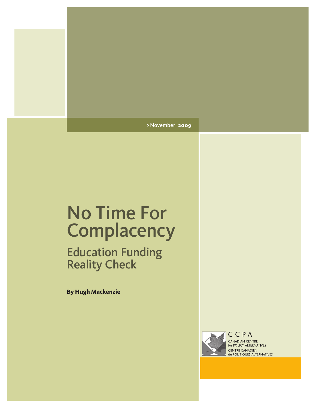> November **2009**

# No Time For **Complacency**

Education Funding Reality Check

**By Hugh Mackenzie**



CCPA CANADIAN CENTRE for POLICY ALTERNATIVES **CENTRE CANADIEN<br>de POLITIQUES ALTERNATIVES**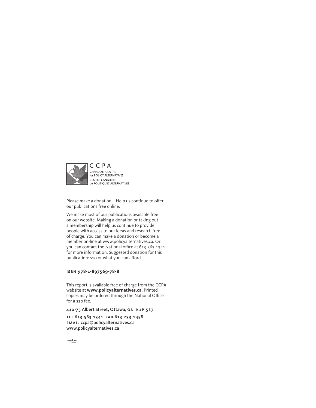

Please make a donation... Help us continue to offer our publications free online.

We make most of our publications available free on our website. Making a donation or taking out a membership will help us continue to provide people with access to our ideas and research free of charge. You can make a donation or become a member on-line at www.policyalternatives.ca. Or you can contact the National office at 613-563-1341 for more information. Suggested donation for this publication: \$10 or what you can afford.

#### **isbn 978-1-897569-78-8**

This report is available free of charge from the CCPA website at **www.policyalternatives.ca**. Printed copies may be ordered through the National Office for a \$10 fee.

410-75 Albert Street, Ottawa, on k1p 5e7

TEL 613-563-1341 FAX 613-233-1458 email ccpa@policyalternatives.ca www.policyalternatives.ca

 $\frac{CAW}{CTTAMA}$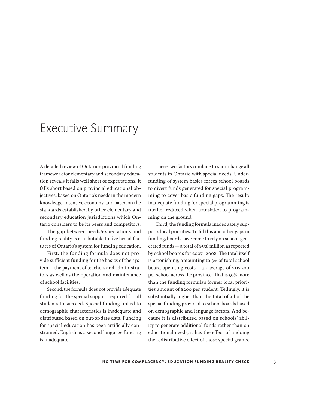### Executive Summary

A detailed review of Ontario's provincial funding framework for elementary and secondary education reveals it falls well short of expectations. It falls short based on provincial educational objectives, based on Ontario's needs in the modern knowledge-intensive economy, and based on the standards established by other elementary and secondary education jurisdictions which Ontario considers to be its peers and competitors.

The gap between needs/expectations and funding reality is attributable to five broad features of Ontario's system for funding education.

First, the funding formula does not provide sufficient funding for the basics of the system—the payment of teachers and administrators as well as the operation and maintenance of school facilities.

Second, the formula does not provide adequate funding for the special support required for all students to succeed. Special funding linked to demographic characteristics is inadequate and distributed based on out-of-date data. Funding for special education has been artificially constrained. English as a second language funding is inadequate.

These two factors combine to shortchange all students in Ontario with special needs. Underfunding of system basics forces school boards to divert funds generated for special programming to cover basic funding gaps. The result: inadequate funding for special programming is further reduced when translated to programming on the ground.

Third, the funding formula inadequately supports local priorities. To fill this and other gaps in funding, boards have come to rely on school-generated funds—a total of \$538 million as reported by school boards for 2007–2008. The total itself is astonishing, amounting to 3% of total school board operating costs—an average of \$117,500 per school across the province. That is 50% more than the funding formula's former local priorities amount of \$200 per student. Tellingly, it is substantially higher than the total of all of the special funding provided to school boards based on demographic and language factors. And because it is distributed based on schools' ability to generate additional funds rather than on educational needs, it has the effect of undoing the redistributive effect of those special grants.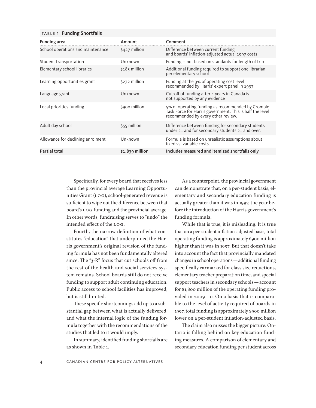#### TABLE 1 Funding Shortfalls

| <b>Funding area</b>               | Amount           | Comment                                                                                                                                             |
|-----------------------------------|------------------|-----------------------------------------------------------------------------------------------------------------------------------------------------|
| School operations and maintenance | $$427$ million   | Difference between current funding<br>and boards' inflation-adjusted actual 1997 costs                                                              |
| Student transportation            | Unknown          | Funding is not based on standards for length of trip                                                                                                |
| Elementary school libraries       | $$185$ million   | Additional funding required to support one librarian<br>per elementary school                                                                       |
| Learning opportunities grant      | \$272 million    | Funding at the 3% of operating cost level<br>recommended by Harris' expert panel in 1997                                                            |
| Language grant                    | Unknown          | Cut-off of funding after 4 years in Canada is<br>not supported by any evidence                                                                      |
| Local priorities funding          | \$900 million    | 5% of operating funding as recommended by Crombie<br>Task Force for Harris government. This is half the level<br>recommended by every other review. |
| Adult day school                  | \$55 million     | Difference between funding for secondary students<br>under 21 and for secondary students 21 and over.                                               |
| Allowance for declining enrolment | Unknown          | Formula is based on unrealistic assumptions about<br>fixed vs. variable costs.                                                                      |
| <b>Partial total</b>              | $$1,839$ million | Includes measured and itemized shortfalls only                                                                                                      |

Specifically, for every board that receives less than the provincial average Learning Opportunities Grant (LOG), school-generated revenue is sufficient to wipe out the difference between that board's LOG funding and the provincial average. In other words, fundraising serves to "undo" the intended effect of the LOG.

Fourth, the narrow definition of what constitutes "education" that underpinned the Harris government's original revision of the funding formula has not been fundamentally altered since. The "3-R" focus that cut schools off from the rest of the health and social services system remains. School boards still do not receive funding to support adult continuing education. Public access to school facilities has improved, but is still limited.

These specific shortcomings add up to a substantial gap between what is actually delivered, and what the internal logic of the funding formula together with the recommendations of the studies that led to it would imply.

In summary, identified funding shortfalls are as shown in Table 1.

As a counterpoint, the provincial government can demonstrate that, on a per-student basis, elementary and secondary education funding is actually greater than it was in 1997, the year before the introduction of the Harris government's funding formula.

While that is true, it is misleading. It is true that on a per-student inflation-adjusted basis, total operating funding is approximately \$900 million higher than it was in 1997. But that doesn't take into account the fact that provincially mandated changes in school operations—additional funding specifically earmarked for class size reductions, elementary teacher preparation time, and special support teachers in secondary schools—account for \$1,800 million of the operating funding provided in 2009–10. On a basis that is comparable to the level of activity required of boards in 1997, total funding is approximately \$900 million lower on a per-student inflation-adjusted basis.

The claim also misses the bigger picture: Ontario is falling behind on key education funding measures. A comparison of elementary and secondary education funding per student across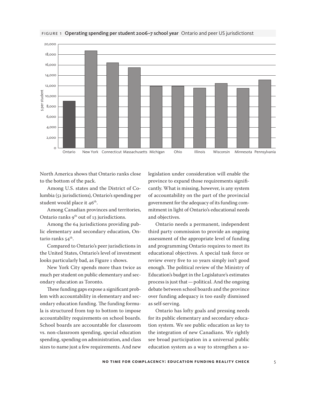

#### FIGURE 1 Operating spending per student 2006-7 school year Ontario and peer US jurisdictionst

North America shows that Ontario ranks close to the bottom of the pack.

Among U.S. states and the District of Columbia (51 jurisdictions), Ontario's spending per student would place it 46<sup>th</sup>.

Among Canadian provinces and territories, Ontario ranks  $9^{th}$  out of 13 jurisdictions.

Among the 64 jurisdictions providing public elementary and secondary education, Ontario ranks  $54$ <sup>th</sup>.

Compared to Ontario's peer jurisdictions in the United States, Ontario's level of investment looks particularly bad, as Figure 1 shows.

New York City spends more than twice as much per student on public elementary and secondary education as Toronto.

These funding gaps expose a significant problem with accountability in elementary and secondary education funding. The funding formula is structured from top to bottom to impose accountability requirements on school boards. School boards are accountable for classroom vs. non-classroom spending, special education spending, spending on administration, and class sizes to name just a few requirements. And new

legislation under consideration will enable the province to expand those requirements significantly. What is missing, however, is any system of accountability on the part of the provincial government for the adequacy of its funding commitment in light of Ontario's educational needs and objectives.

Ontario needs a permanent, independent third party commission to provide an ongoing assessment of the appropriate level of funding and programming Ontario requires to meet its educational objectives. A special task force or review every five to 10 years simply isn't good enough. The political review of the Ministry of Education's budget in the Legislature's estimates process is just that—political. And the ongoing debate between school boards and the province over funding adequacy is too easily dismissed as self-serving.

Ontario has lofty goals and pressing needs for its public elementary and secondary education system. We see public education as key to the integration of new Canadians. We rightly see broad participation in a universal public education system as a way to strengthen a so-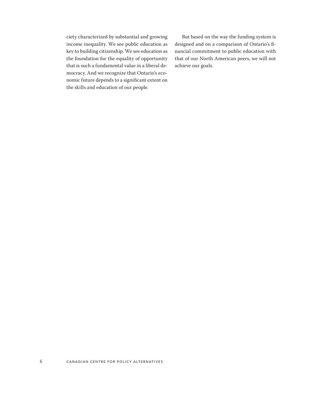ciety characterized by substantial and growing income inequality. We see public education as key to building citizenship. We see education as the foundation for the equality of opportunity that is such a fundamental value in a liberal democracy. And we recognize that Ontario's economic future depends to a significant extent on the skills and education of our people.

But based on the way the funding system is designed and on a comparison of Ontario's financial commitment to public education with that of our North American peers, we will not achieve our goals.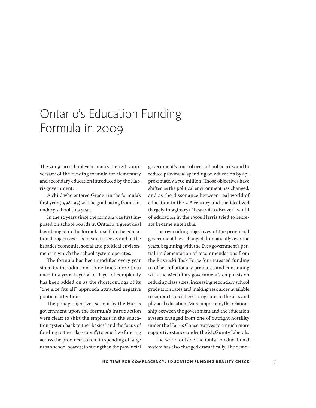# Ontario's Education Funding Formula in 2009

The 2009–10 school year marks the 12th anniversary of the funding formula for elementary and secondary education introduced by the Harris government.

A child who entered Grade 1 in the formula's first year (1998–99) will be graduating from secondary school this year.

In the 12 years since the formula was first imposed on school boards in Ontario, a great deal has changed in the formula itself, in the educational objectives it is meant to serve, and in the broader economic, social and political environment in which the school system operates.

The formula has been modified every year since its introduction; sometimes more than once in a year. Layer after layer of complexity has been added on as the shortcomings of its "one size fits all" approach attracted negative political attention.

The policy objectives set out by the Harris government upon the formula's introduction were clear: to shift the emphasis in the education system back to the "basics" and the focus of funding to the "classroom"; to equalize funding across the province; to rein in spending of large urban school boards; to strengthen the provincial

government's control over school boards; and to reduce provincial spending on education by approximately \$750 million. Those objectives have shifted as the political environment has changed, and as the dissonance between real world of education in the 21<sup>st</sup> century and the idealized (largely imaginary) "Leave-it-to-Beaver" world of education in the 1950s Harris tried to recreate became untenable.

The overriding objectives of the provincial government have changed dramatically over the years, beginning with the Eves government's partial implementation of recommendations from the Rozanski Task Force for increased funding to offset inflationary pressures and continuing with the McGuinty government's emphasis on reducing class sizes, increasing secondary school graduation rates and making resources available to support specialized programs in the arts and physical education. More important, the relationship between the government and the education system changed from one of outright hostility under the Harris Conservatives to a much more supportive stance under the McGuinty Liberals.

The world outside the Ontario educational system has also changed dramatically. The demo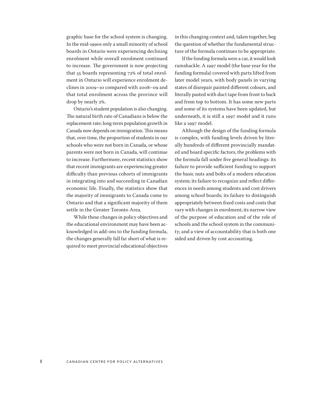graphic base for the school system is changing. In the mid-1990s only a small minority of school boards in Ontario were experiencing declining enrolment while overall enrolment continued to increase. The government is now projecting that 55 boards representing 72% of total enrolment in Ontario will experience enrolment declines in 2009–10 compared with 2008–09 and that total enrolment across the province will drop by nearly 2%.

Ontario's student population is also changing. The natural birth rate of Canadians is below the replacement rate; long-term population growth in Canada now depends on immigration. This means that, over time, the proportion of students in our schools who were not born in Canada, or whose parents were not born in Canada, will continue to increase. Furthermore, recent statistics show that recent immigrants are experiencing greater difficulty than previous cohorts of immigrants in integrating into and succeeding in Canadian economic life. Finally, the statistics show that the majority of immigrants to Canada come to Ontario and that a significant majority of them settle in the Greater Toronto Area.

While these changes in policy objectives and the educational environment may have been acknowledged in add-ons to the funding formula, the changes generally fall far short of what is required to meet provincial educational objectives in this changing context and, taken together, beg the question of whether the fundamental structure of the formula continues to be appropriate.

If the funding formula were a car, it would look ramshackle. A 1997 model (the base year for the funding formula) covered with parts lifted from later model years, with body panels in varying states of disrepair painted different colours, and literally pasted with duct tape from front to back and from top to bottom. It has some new parts and some of its systems have been updated, but underneath, it is still a 1997 model and it runs like a 1997 model.

Although the design of the funding formula is complex, with funding levels driven by literally hundreds of different provincially mandated and board specific factors, the problems with the formula fall under five general headings: its failure to provide sufficient funding to support the basic nuts and bolts of a modern education system; its failure to recognize and reflect differences in needs among students and cost drivers among school boards; its failure to distinguish appropriately between fixed costs and costs that vary with changes in enrolment; its narrow view of the purpose of education and of the role of schools and the school system in the community; and a view of accountability that is both one sided and driven by cost accounting.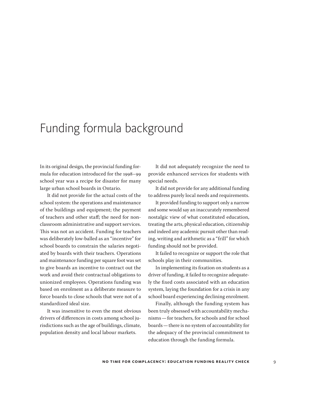### Funding formula background

In its original design, the provincial funding formula for education introduced for the 1998–99 school year was a recipe for disaster for many large urban school boards in Ontario.

It did not provide for the actual costs of the school system: the operations and maintenance of the buildings and equipment; the payment of teachers and other staff; the need for nonclassroom administrative and support services. This was not an accident. Funding for teachers was deliberately low-balled as an "incentive" for school boards to constrain the salaries negotiated by boards with their teachers. Operations and maintenance funding per square foot was set to give boards an incentive to contract out the work and avoid their contractual obligations to unionized employees. Operations funding was based on enrolment as a deliberate measure to force boards to close schools that were not of a standardized ideal size.

It was insensitive to even the most obvious drivers of differences in costs among school jurisdictions such as the age of buildings, climate, population density and local labour markets.

It did not adequately recognize the need to provide enhanced services for students with special needs.

It did not provide for any additional funding to address purely local needs and requirements.

It provided funding to support only a narrow and some would say an inaccurately remembered nostalgic view of what constituted education, treating the arts, physical education, citizenship and indeed any academic pursuit other than reading, writing and arithmetic as a "frill" for which funding should not be provided.

It failed to recognize or support the role that schools play in their communities.

In implementing its fixation on students as a driver of funding, it failed to recognize adequately the fixed costs associated with an education system, laying the foundation for a crisis in any school board experiencing declining enrolment.

Finally, although the funding system has been truly obsessed with accountability mechanisms—for teachers, for schools and for school boards—there is no system of accountability for the adequacy of the provincial commitment to education through the funding formula.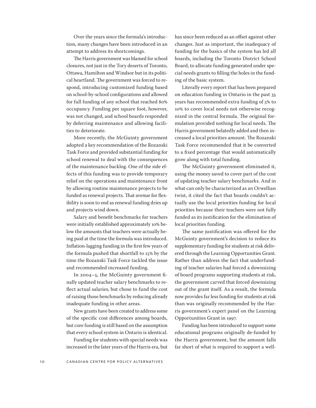Over the years since the formula's introduction, many changes have been introduced in an attempt to address its shortcomings.

The Harris government was blamed for school closures, not just in the Tory deserts of Toronto, Ottawa, Hamilton and Windsor but in its political heartland. The government was forced to respond, introducing customized funding based on school-by-school configurations and allowed for full funding of any school that reached 80% occupancy. Funding per square foot, however, was not changed, and school boards responded by deferring maintenance and allowing facilities to deteriorate.

More recently, the McGuinty government adopted a key recommendation of the Rozanski Task Force and provided substantial funding for school renewal to deal with the consequences of the maintenance backlog. One of the side effects of this funding was to provide temporary relief on the operations and maintenance front by allowing routine maintenance projects to be funded as renewal projects. That avenue for flexibility is soon to end as renewal funding dries up and projects wind down.

Salary and benefit benchmarks for teachers were initially established approximately 10% below the amounts that teachers were actually being paid at the time the formula was introduced. Inflation-lagging funding in the first few years of the formula pushed that shortfall to 15% by the time the Rozanski Task Force tackled the issue and recommended increased funding.

In 2004–5, the McGuinty government finally updated teacher salary benchmarks to reflect actual salaries, but chose to fund the cost of raising those benchmarks by reducing already inadequate funding in other areas.

New grants have been created to address some of the specific cost differences among boards, but core funding is still based on the assumption that every school system in Ontario is identical.

Funding for students with special needs was increased in the later years of the Harris era, but has since been reduced as an offset against other changes. Just as important, the inadequacy of funding for the basics of the system has led all boards, including the Toronto District School Board, to allocate funding generated under special needs grants to filling the holes in the funding of the basic system.

Literally every report that has been prepared on education funding in Ontario in the past 35 years has recommended extra funding of 5% to 10% to cover local needs not otherwise recognized in the central formula. The original formulation provided nothing for local needs. The Harris government belatedly added and then increased a local priorities amount. The Rozanski Task Force recommended that it be converted to a fixed percentage that would automatically grow along with total funding.

The McGuinty government eliminated it, using the money saved to cover part of the cost of updating teacher salary benchmarks. And in what can only be characterized as an Orwellian twist, it cited the fact that boards couldn't actually use the local priorities funding for local priorities because their teachers were not fully funded as its justification for the elimination of local priorities funding.

The same justification was offered for the McGuinty government's decision to reduce its supplementary funding for students at risk delivered through the Learning Opportunities Grant. Rather than address the fact that underfunding of teacher salaries had forced a downsizing of board programs supporting students at risk, the government carved that forced downsizing out of the grant itself. As a result, the formula now provides far less funding for students at risk than was originally recommended by the Harris government's expert panel on the Learning Opportunities Grant in 1997.

Funding has been introduced to support some educational programs originally de-funded by the Harris government, but the amount falls far short of what is required to support a well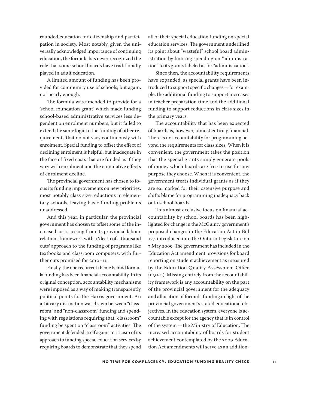rounded education for citizenship and participation in society. Most notably, given the universally acknowledged importance of continuing education, the formula has never recognized the role that some school boards have traditionally played in adult education.

A limited amount of funding has been provided for community use of schools, but again, not nearly enough.

The formula was amended to provide for a 'school foundation grant' which made funding school-based administrative services less dependent on enrolment numbers, but it failed to extend the same logic to the funding of other requirements that do not vary continuously with enrolment. Special funding to offset the effect of declining enrolment is helpful, but inadequate in the face of fixed costs that are funded as if they vary with enrolment and the cumulative effects of enrolment decline.

The provincial government has chosen to focus its funding improvements on new priorities, most notably class size reductions in elementary schools, leaving basic funding problems unaddressed.

And this year, in particular, the provincial government has chosen to offset some of the increased costs arising from its provincial labour relations framework with a 'death of a thousand cuts' approach to the funding of programs like textbooks and classroom computers, with further cuts promised for 2010–11.

Finally, the one recurrent theme behind formula funding has been financial accountability. In its original conception, accountability mechanisms were imposed as a way of making transparently political points for the Harris government. An arbitrary distinction was drawn between "classroom" and "non-classroom" funding and spending with regulations requiring that "classroom" funding be spent on "classroom" activities. The government defended itself against criticism of its approach to funding special education services by requiring boards to demonstrate that they spend

all of their special education funding on special education services. The government underlined its point about "wasteful" school board administration by limiting spending on "administration" to its grants labeled as for "administration".

Since then, the accountability requirements have expanded, as special grants have been introduced to support specific changes—for example, the additional funding to support increases in teacher preparation time and the additional funding to support reductions in class sizes in the primary years.

The accountability that has been expected of boards is, however, almost entirely financial. There is no accountability for programming beyond the requirements for class sizes. When it is convenient, the government takes the position that the special grants simply generate pools of money which boards are free to use for any purpose they choose. When it is convenient, the government treats individual grants as if they are earmarked for their ostensive purpose and shifts blame for programming inadequacy back onto school boards.

This almost exclusive focus on financial accountability by school boards has been highlighted for change in the McGuinty government's proposed changes in the Education Act in Bill 177, introduced into the Ontario Legislature on 7 May 2009. The government has included in the Education Act amendment provisions for board reporting on student achievement as measured by the Education Quality Assessment Office (EQAO). Missing entirely from the accountability framework is any accountability on the part of the provincial government for the adequacy and allocation of formula funding in light of the provincial government's stated educational objectives. In the education system, everyone is accountable except for the agency that is in control of the system—the Ministry of Education. The increased accountability of boards for student achievement contemplated by the 2009 Education Act amendments will serve as an addition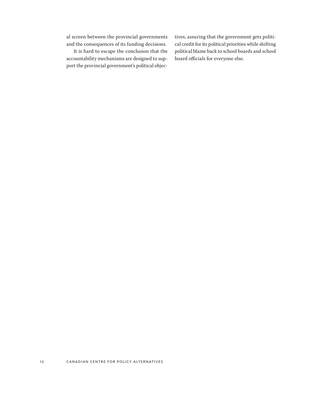al screen between the provincial governments and the consequences of its funding decisions.

It is hard to escape the conclusion that the accountability mechanisms are designed to support the provincial government's political objectives, assuring that the government gets political credit for its political priorities while shifting political blame back to school boards and school board officials for everyone else.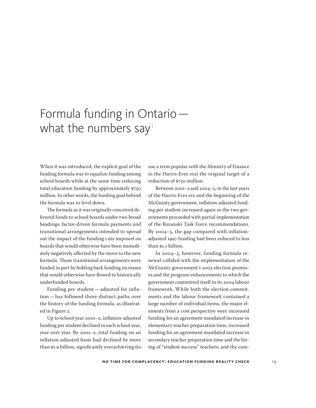# Formula funding in Ontario what the numbers say<sup>1</sup>

When it was introduced, the explicit goal of the funding formula was to equalize funding among school boards while at the same time reducing total education funding by approximately \$750 million. In other words, the funding goal behind the formula was to level down.

The formula as it was originally conceived delivered funds to school boards under two broad headings: factor-driven formula payments and transitional arrangements intended to spread out the impact of the funding cuts imposed on boards that would otherwise have been immediately negatively affected by the move to the new formula. Those transitional arrangements were funded in part by holding back funding increases that would otherwise have flowed to historically underfunded boards.

Funding per student—adjusted for inflation—has followed three distinct paths over the history of the funding formula, as illustrated in Figure 2.

Up to school year 2001–2, inflation-adjusted funding per student declined in each school year, year over year. By 2001–2, total funding on an inflation-adjusted basis had declined by more than \$1.9 billion, significantly overachieving (to

use a term popular with the Ministry of Finance in the Harris-Eves era) the original target of a reduction of \$750 million.

Between 2001–2 and 2004–5, in the last years of the Harris-Eves era and the beginning of the McGuinty government, inflation-adjusted funding per student increased again as the two governments proceeded with partial implementation of the Rozanski Task Force recommendations. By 2004–5, the gap compared with inflationadjusted 1997 funding had been reduced to less than \$1.1 billion.

In 2004–5, however, funding formula renewal collided with the implementation of the McGuinty government's 2003 election promises and the program enhancements to which the government committed itself in its 2004 labour framework. While both the election commitments and the labour framework contained a large number of individual items, the major elements from a cost perspective were increased funding for an agreement mandated increase in elementary teacher preparation time, increased funding for an agreement mandated increase in secondary teacher preparation time and the hiring of "student success" teachers; and the cam-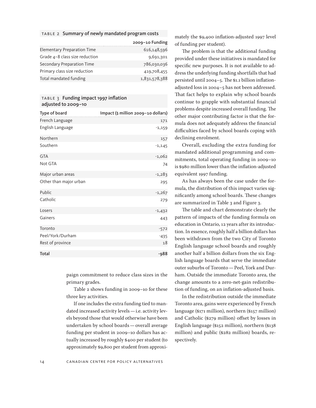#### table 2 Summary of newly mandated program costs

|                                    | 2009-10 Funding |
|------------------------------------|-----------------|
| <b>Elementary Preparation Time</b> | 616,148,596     |
| Grade $4-8$ class size reduction   | 9,691,301       |
| Secondary Preparation Time         | 786,030,036     |
| Primary class size reduction       | 419,708,455     |
| Total mandated funding             | 1,831,578,388   |

#### TABLE 3 Funding impact 1997 inflation adjusted to 2009–10

| Type of board          | Impact (\$ million 2009-10 dollars) |
|------------------------|-------------------------------------|
| French Language        | 171                                 |
| English Language       | $-1,159$                            |
| Northern               | 157                                 |
| Southern               | $-1,145$                            |
| <b>GTA</b>             | $-1,062$                            |
| Not GTA                | 74                                  |
| Major urban areas      | $-1,283$                            |
| Other than major urban | 295                                 |
| Public                 | $-1,267$                            |
| Catholic               | 279                                 |
| Losers                 | $-1,432$                            |
| Gainers                | 443                                 |
| Toronto                | $-572$                              |
| Peel/York/Durham       | $-435$                              |
| Rest of province       | 18                                  |
| Total                  | $-988$                              |

paign commitment to reduce class sizes in the primary grades.

Table 2 shows funding in 2009–10 for these three key activities.

If one includes the extra funding tied to mandated increased activity levels—i.e. activity levels beyond those that would otherwise have been undertaken by school boards—overall average funding per student in 2009–10 dollars has actually increased by roughly \$400 per student (to approximately \$9,800 per student from approximately the \$9,400 inflation-adjusted 1997 level of funding per student).

The problem is that the additional funding provided under these initiatives is mandated for specific new purposes. It is not available to address the underlying funding shortfalls that had persisted until 2004–5. The \$1.1 billion inflationadjusted loss in 2004–5 has not been addressed. That fact helps to explain why school boards continue to grapple with substantial financial problems despite increased overall funding. The other major contributing factor is that the formula does not adequately address the financial difficulties faced by school boards coping with declining enrolment.

Overall, excluding the extra funding for mandated additional programming and commitments, total operating funding in 2009–10 is \$980 million lower than the inflation-adjusted equivalent 1997 funding.

As has always been the case under the formula, the distribution of this impact varies significantly among school boards. These changes are summarized in Table 3 and Figure 3.

The table and chart demonstrate clearly the pattern of impacts of the funding formula on education in Ontario, 12 years after its introduction. In essence, roughly half a billion dollars has been withdrawn from the two City of Toronto English language school boards and roughly another half a billion dollars from the six English language boards that serve the immediate outer suburbs of Toronto—Peel, York and Durham. Outside the immediate Toronto area, the change amounts to a zero-net-gain redistribution of funding, on an inflation-adjusted basis.

In the redistribution outside the immediate Toronto area, gains were experienced by French language (\$171 million), northern (\$157 million) and Catholic (\$279 million) offset by losses in English language (\$152 million), northern (\$138 million) and public (\$282 million) boards, respectively.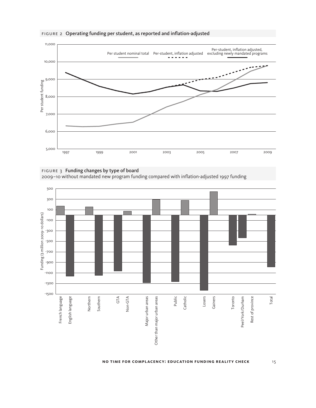

#### figure 2 Operating funding per student, as reported and inflation-adjusted



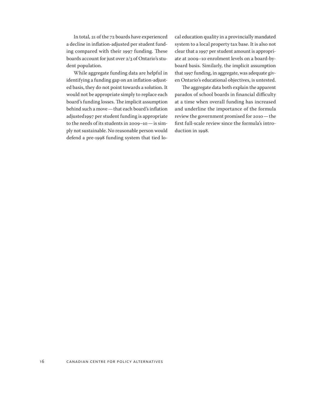In total, 21 of the 72 boards have experienced a decline in inflation-adjusted per student funding compared with their 1997 funding. These boards account for just over 2/3 of Ontario's student population.

While aggregate funding data are helpful in identifying a funding gap on an inflation-adjusted basis, they do not point towards a solution. It would not be appropriate simply to replace each board's funding losses. The implicit assumption behind such a move—that each board's inflation adjusted1997 per student funding is appropriate to the needs of its students in 2009–10—is simply not sustainable. No reasonable person would defend a pre-1998 funding system that tied local education quality in a provincially mandated system to a local property tax base. It is also not clear that a 1997 per student amount is appropriate at 2009–10 enrolment levels on a board-byboard basis. Similarly, the implicit assumption that 1997 funding, in aggregate, was adequate given Ontario's educational objectives, is untested.

The aggregate data both explain the apparent paradox of school boards in financial difficulty at a time when overall funding has increased and underline the importance of the formula review the government promised for 2010—the first full-scale review since the formula's introduction in 1998.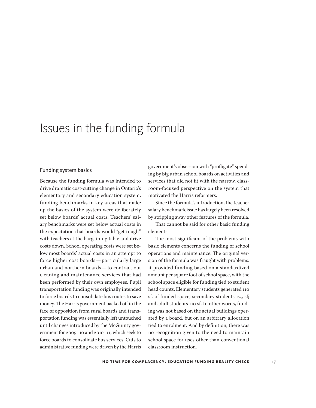### Issues in the funding formula

#### Funding system basics

Because the funding formula was intended to drive dramatic cost-cutting change in Ontario's elementary and secondary education system, funding benchmarks in key areas that make up the basics of the system were deliberately set below boards' actual costs. Teachers' salary benchmarks were set below actual costs in the expectation that boards would "get tough" with teachers at the bargaining table and drive costs down. School operating costs were set below most boards' actual costs in an attempt to force higher cost boards—particularly large urban and northern boards—to contract out cleaning and maintenance services that had been performed by their own employees. Pupil transportation funding was originally intended to force boards to consolidate bus routes to save money. The Harris government backed off in the face of opposition from rural boards and transportation funding was essentially left untouched until changes introduced by the McGuinty government for 2009–10 and 2010–11, which seek to force boards to consolidate bus services. Cuts to administrative funding were driven by the Harris

government's obsession with "profligate" spending by big urban school boards on activities and services that did not fit with the narrow, classroom-focused perspective on the system that motivated the Harris reformers.

Since the formula's introduction, the teacher salary benchmark issue has largely been resolved by stripping away other features of the formula.

That cannot be said for other basic funding elements.

The most significant of the problems with basic elements concerns the funding of school operations and maintenance. The original version of the formula was fraught with problems. It provided funding based on a standardized amount per square foot of school space, with the school space eligible for funding tied to student head counts. Elementary students generated 110 sf. of funded space; secondary students 125 sf; and adult students 110 sf. In other words, funding was not based on the actual buildings operated by a board, but on an arbitrary allocation tied to enrolment. And by definition, there was no recognition given to the need to maintain school space for uses other than conventional classroom instruction.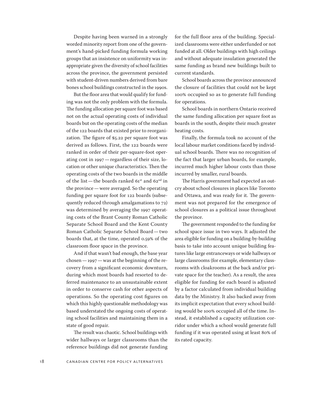Despite having been warned in a strongly worded minority report from one of the government's hand-picked funding formula working groups that an insistence on uniformity was inappropriate given the diversity of school facilities across the province, the government persisted with student-driven numbers derived from bare bones school buildings constructed in the 1990s.

But the floor area that would qualify for funding was not the only problem with the formula. The funding allocation per square foot was based not on the actual operating costs of individual boards but on the operating costs of the median of the 122 boards that existed prior to reorganization. The figure of \$5.22 per square foot was derived as follows. First, the 122 boards were ranked in order of their per-square-foot operating cost in 1997—regardless of their size, location or other unique characteristics. Then the operating costs of the two boards in the middle of the list—the boards ranked  $61^{\rm st}$  and  $62^{\rm nd}$  in the province—were averaged. So the operating funding per square foot for 122 boards (subsequently reduced through amalgamations to 72) was determined by averaging the 1997 operating costs of the Brant County Roman Catholic Separate School Board and the Kent County Roman Catholic Separate School Board—two boards that, at the time, operated 0.59% of the classroom floor space in the province.

And if that wasn't bad enough, the base year chosen—1997—was at the beginning of the recovery from a significant economic downturn, during which most boards had resorted to deferred maintenance to an unsustainable extent in order to conserve cash for other aspects of operations. So the operating cost figures on which this highly questionable methodology was based understated the ongoing costs of operating school facilities and maintaining them in a state of good repair.

The result was chaotic. School buildings with wider hallways or larger classrooms than the reference buildings did not generate funding for the full floor area of the building. Specialized classrooms were either underfunded or not funded at all. Older buildings with high ceilings and without adequate insulation generated the same funding as brand new buildings built to current standards.

School boards across the province announced the closure of facilities that could not be kept 100% occupied so as to generate full funding for operations.

School boards in northern Ontario received the same funding allocation per square foot as boards in the south, despite their much greater heating costs.

Finally, the formula took no account of the local labour market conditions faced by individual school boards. There was no recognition of the fact that larger urban boards, for example, incurred much higher labour costs than those incurred by smaller, rural boards.

The Harris government had expected an outcry about school closures in places like Toronto and Ottawa, and was ready for it. The government was not prepared for the emergence of school closures as a political issue throughout the province.

The government responded to the funding for school space issue in two ways. It adjusted the area eligible for funding on a building-by-building basis to take into account unique building features like large entranceways or wide hallways or large classrooms (for example, elementary classrooms with cloakrooms at the back and/or private space for the teacher). As a result, the area eligible for funding for each board is adjusted by a factor calculated from individual building data by the Ministry. It also backed away from its implicit expectation that every school building would be 100% occupied all of the time. Instead, it established a capacity utilization corridor under which a school would generate full funding if it was operated using at least 80% of its rated capacity.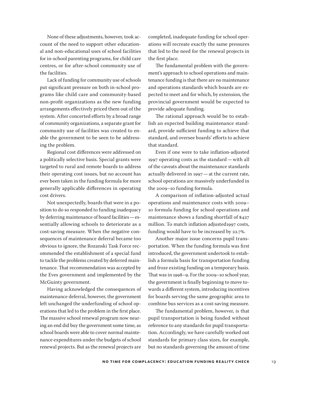None of these adjustments, however, took account of the need to support other educational and non-educational uses of school facilities for in-school parenting programs, for child care centres, or for after-school community use of the facilities.

Lack of funding for community use of schools put significant pressure on both in-school programs like child care and community-based non-profit organizations as the new funding arrangements effectively priced them out of the system. After concerted efforts by a broad range of community organizations, a separate grant for community use of facilities was created to enable the government to be seen to be addressing the problem.

Regional cost differences were addressed on a politically selective basis. Special grants were targeted to rural and remote boards to address their operating cost issues, but no account has ever been taken in the funding formula for more generally applicable differences in operating cost drivers.

Not unexpectedly, boards that were in a position to do so responded to funding inadequacy by deferring maintenance of board facilities—essentially allowing schools to deteriorate as a cost-saving measure. When the negative consequences of maintenance deferral became too obvious to ignore, the Rozanski Task Force recommended the establishment of a special fund to tackle the problems created by deferred maintenance. That recommendation was accepted by the Eves government and implemented by the McGuinty government.

Having acknowledged the consequences of maintenance deferral, however, the government left unchanged the underfunding of school operations that led to the problem in the first place. The massive school renewal program now nearing an end did buy the government some time, as school boards were able to cover normal maintenance expenditures under the budgets of school renewal projects. But as the renewal projects are

completed, inadequate funding for school operations will recreate exactly the same pressures that led to the need for the renewal projects in the first place.

The fundamental problem with the government's approach to school operations and maintenance funding is that there are no maintenance and operations standards which boards are expected to meet and for which, by extension, the provincial government would be expected to provide adequate funding.

The rational approach would be to establish an expected building maintenance standard, provide sufficient funding to achieve that standard, and oversee boards' efforts to achieve that standard.

Even if one were to take inflation-adjusted 1997 operating costs as the standard—with all of the caveats about the maintenance standards actually delivered in 1997—at the current rate, school operations are massively underfunded in the 2009–10 funding formula.

A comparison of inflation-adjusted actual operations and maintenance costs with 2009– 10 formula funding for school operations and maintenance shows a funding shortfall of \$427 million. To match inflation adjusted1997 costs, funding would have to be increased by 22.7%.

Another major issue concerns pupil transportation. When the funding formula was first introduced, the government undertook to establish a formula basis for transportation funding and froze existing funding on a temporary basis. That was in 1998–9. For the 2009–10 school year, the government is finally beginning to move towards a different system, introducing incentives for boards serving the same geographic area to combine bus services as a cost-saving measure.

The fundamental problem, however, is that pupil transportation is being funded without reference to any standards for pupil transportation. Accordingly, we have carefully worked out standards for primary class sizes, for example, but no standards governing the amount of time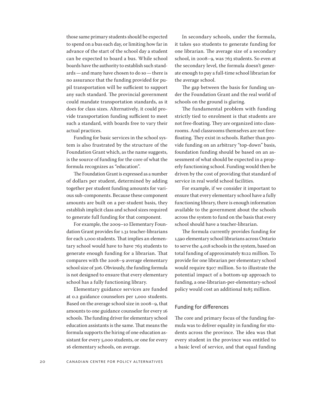those same primary students should be expected to spend on a bus each day, or limiting how far in advance of the start of the school day a student can be expected to board a bus. While school boards have the authority to establish such standards—and many have chosen to do so—there is no assurance that the funding provided for pupil transportation will be sufficient to support any such standard. The provincial government could mandate transportation standards, as it does for class sizes. Alternatively, it could provide transportation funding sufficient to meet such a standard, with boards free to vary their actual practices.

Funding for basic services in the school system is also frustrated by the structure of the Foundation Grant which, as the name suggests, is the source of funding for the core of what the formula recognizes as "education".

The Foundation Grant is expressed as a number of dollars per student, determined by adding together per student funding amounts for various sub-components. Because these component amounts are built on a per-student basis, they establish implicit class and school sizes required to generate full funding for that component.

For example, the 2009–10 Elementary Foundation Grant provides for 1.31 teacher-librarians for each 1,000 students. That implies an elementary school would have to have 763 students to generate enough funding for a librarian. That compares with the 2008–9 average elementary school size of 306. Obviously, the funding formula is not designed to ensure that every elementary school has a fully functioning library.

Elementary guidance services are funded at 0.2 guidance counselors per 1,000 students. Based on the average school size in 2008–9, that amounts to one guidance counselor for every 16 schools. The funding driver for elementary school education assistants is the same. That means the formula supports the hiring of one education assistant for every 5,000 students, or one for every 16 elementary schools, on average.

In secondary schools, under the formula, it takes 910 students to generate funding for one librarian. The average size of a secondary school, in 2008–9, was 763 students. So even at the secondary level, the formula doesn't generate enough to pay a full-time school librarian for the average school.

The gap between the basis for funding under the Foundation Grant and the real world of schools on the ground is glaring.

The fundamental problem with funding strictly tied to enrolment is that students are not free-floating. They are organized into classrooms. And classrooms themselves are not freefloating. They exist in schools. Rather than provide funding on an arbitrary "top-down" basis, foundation funding should be based on an assessment of what should be expected in a properly functioning school. Funding would then be driven by the cost of providing that standard of service in real world school facilities.

For example, if we consider it important to ensure that every elementary school have a fully functioning library, there is enough information available to the government about the schools across the system to fund on the basis that every school should have a teacher-librarian.

The formula currently provides funding for 1,590 elementary school librarians across Ontario to serve the 4,018 schools in the system, based on total funding of approximately \$122 million. To provide for one librarian per elementary school would require \$307 million. So to illustrate the potential impact of a bottom-up approach to funding, a one-librarian-per-elementary-school policy would cost an additional \$185 million.

#### Funding for differences

The core and primary focus of the funding formula was to deliver equality in funding for students across the province. The idea was that every student in the province was entitled to a basic level of service, and that equal funding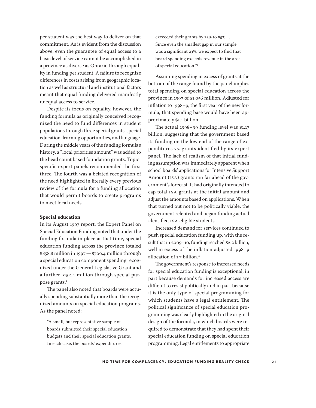per student was the best way to deliver on that commitment. As is evident from the discussion above, even the guarantee of equal access to a basic level of service cannot be accomplished in a province as diverse as Ontario through equality in funding per student. A failure to recognize differences in costs arising from geographic location as well as structural and institutional factors meant that equal funding delivered manifestly unequal access to service.

Despite its focus on equality, however, the funding formula as originally conceived recognized the need to fund differences in student populations through three special grants: special education, learning opportunities, and language. During the middle years of the funding formula's history, a "local priorities amount" was added to the head count based foundation grants. Topicspecific expert panels recommended the first three. The fourth was a belated recognition of the need highlighted in literally every previous review of the formula for a funding allocation that would permit boards to create programs to meet local needs.

#### **Special education**

In its August 1997 report, the Expert Panel on Special Education Funding noted that under the funding formula in place at that time, special education funding across the province totaled \$858.8 million in 1997—\$706.4 million through a special education component spending recognized under the General Legislative Grant and a further \$152.4 million through special purpose grants.<sup>2</sup>

The panel also noted that boards were actually spending substantially more than the recognized amounts on special education programs. As the panel noted:

"A small, but representative sample of boards submitted their special education budgets and their special education grants. In each case, the boards' expenditures

exceeded their grants by 23% to 85%. … Since even the smallest gap in our sample was a significant 23%, we expect to find that board spending exceeds revenue in the area of special education."<sup>3</sup>

Assuming spending in excess of grants at the bottom of the range found by the panel implies total spending on special education across the province in 1997 of \$1,056 million. Adjusted for inflation to 1998–9, the first year of the new formula, that spending base would have been approximately \$1.1 billion.

The actual 1998–99 funding level was \$1.17 billion, suggesting that the government based its funding on the low end of the range of expenditures vs. grants identified by its expert panel. The lack of realism of that initial funding assumption was immediately apparent when school boards' applications for Intensive Support Amount (ISA) grants ran far ahead of the government's forecast. It had originally intended to cap total ISA grants at the initial amount and adjust the amounts based on applications. When that turned out not to be politically viable, the government relented and began funding actual identified ISA eligible students.

Increased demand for services continued to push special education funding up, with the result that in 2009–10, funding reached \$2.2 billion, well in excess of the inflation-adjusted 1998–9 allocation of 1.7 billion.<sup>4</sup>

The government's response to increased needs for special education funding is exceptional, in part because demands for increased access are difficult to resist politically and in part because it is the only type of special programming for which students have a legal entitlement. The political significance of special education programming was clearly highlighted in the original design of the formula, in which boards were required to demonstrate that they had spent their special education funding on special education programming. Legal entitlements to appropriate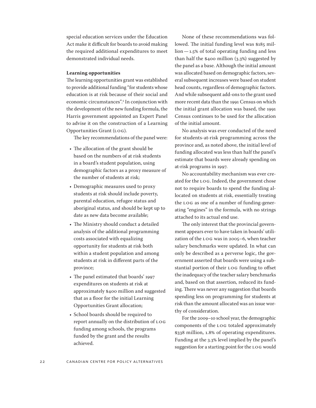special education services under the Education Act make it difficult for boards to avoid making the required additional expenditures to meet demonstrated individual needs.

#### **Learning opportunities**

The learning opportunities grant was established to provide additional funding "for students whose education is at risk because of their social and economic circumstances".<sup>5</sup> In conjunction with the development of the new funding formula, the Harris government appointed an Expert Panel to advise it on the construction of a Learning Opportunities Grant (LOG).

The key recommendations of the panel were:

- The allocation of the grant should be based on the numbers of at risk students in a board's student population, using demographic factors as a proxy measure of the number of students at risk;
- Demographic measures used to proxy students at risk should include poverty, parental education, refugee status and aboriginal status, and should be kept up to date as new data become available;
- The Ministry should conduct a detailed analysis of the additional programming costs associated with equalizing opportunity for students at risk both within a student population and among students at risk in different parts of the province;
- The panel estimated that boards' 1997 expenditures on students at risk at approximately \$400 million and suggested that as a floor for the initial Learning Opportunities Grant allocation;
- School boards should be required to report annually on the distribution of LOG funding among schools, the programs funded by the grant and the results achieved.

None of these recommendations was followed. The initial funding level was \$185 million—1.5% of total operating funding and less than half the \$400 million (3.3%) suggested by the panel as a base. Although the initial amount was allocated based on demographic factors, several subsequent increases were based on student head counts, regardless of demographic factors. And while subsequent add-ons to the grant used more recent data than the 1991 Census on which the initial grant allocation was based, the 1991 Census continues to be used for the allocation of the initial amount.

No analysis was ever conducted of the need for students-at-risk programming across the province and, as noted above, the initial level of funding allocated was less than half the panel's estimate that boards were already spending on at-risk programs in 1997.

No accountability mechanism was ever created for the LOG. Indeed, the government chose not to require boards to spend the funding allocated on students at risk, essentially treating the LOG as one of a number of funding-generating "engines" in the formula, with no strings attached to its actual end use.

The only interest that the provincial government appears ever to have taken in boards' utilization of the LOG was in 2005–6, when teacher salary benchmarks were updated. In what can only be described as a perverse logic, the government asserted that boards were using a substantial portion of their LOG funding to offset the inadequacy of the teacher salary benchmarks and, based on that assertion, reduced its funding. There was never any suggestion that boards spending less on programming for students at risk than the amount allocated was an issue worthy of consideration.

For the 2009–10 school year, the demographic components of the LOG totaled approximately \$338 million, 1.8% of operating expenditures. Funding at the 3.3% level implied by the panel's suggestion for a starting point for the LOG would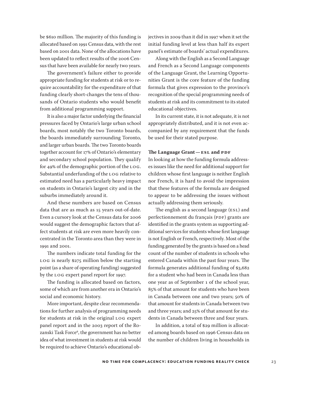be \$610 million. The majority of this funding is allocated based on 1991 Census data, with the rest based on 2001 data. None of the allocations have been updated to reflect results of the 2006 Census that have been available for nearly two years.

The government's failure either to provide appropriate funding for students at risk or to require accountability for the expenditure of that funding clearly short-changes the tens of thousands of Ontario students who would benefit from additional programming support.

It is also a major factor underlying the financial pressures faced by Ontario's large urban school boards, most notably the two Toronto boards, the boards immediately surrounding Toronto, and larger urban boards. The two Toronto boards together account for 17% of Ontario's elementary and secondary school population. They qualify for 49% of the demographic portion of the LOG. Substantial underfunding of the LOG relative to estimated need has a particularly heavy impact on students in Ontario's largest city and in the suburbs immediately around it.

And these numbers are based on Census data that are as much as 15 years out-of-date. Even a cursory look at the Census data for 2006 would suggest the demographic factors that affect students at risk are even more heavily concentrated in the Toronto area than they were in 1991 and 2001.

The numbers indicate total funding for the LOG is nearly \$275 million below the starting point (as a share of operating funding) suggested by the LOG expert panel report for 1997.

The funding is allocated based on factors, some of which are from another era in Ontario's social and economic history.

More important, despite clear recommendations for further analysis of programming needs for students at risk in the original LOG expert panel report and in the 2003 report of the Rozanski Task Force<sup>6</sup>, the government has no better idea of what investment in students at risk would be required to achieve Ontario's educational objectives in 2009 than it did in 1997 when it set the initial funding level at less than half its expert panel's estimate of boards' actual expenditures.

Along with the English as a Second Language and French as a Second Language components of the Language Grant, the Learning Opportunities Grant is the core feature of the funding formula that gives expression to the province's recognition of the special programming needs of students at risk and its commitment to its stated educational objectives.

In its current state, it is not adequate, it is not appropriately distributed, and it is not even accompanied by any requirement that the funds be used for their stated purpose.

#### **The Language Grant—ESL and PDF**

In looking at how the funding formula addresses issues like the need for additional support for children whose first language is neither English nor French, it is hard to avoid the impression that these features of the formula are designed to appear to be addressing the issues without actually addressing them seriously.

The english as a second language (ESL) and perfectionnement du français (PDF) grants are identified in the grants system as supporting additional services for students whose first language is not English or French, respectively. Most of the funding generated by the grants is based on a head count of the number of students in schools who entered Canada within the past four years. The formula generates additional funding of \$3,682 for a student who had been in Canada less than one year as of September 1 of the school year, 85% of that amount for students who have been in Canada between one and two years; 50% of that amount for students in Canada between two and three years; and 25% of that amount for students in Canada between three and four years.

In addition, a total of \$29 million is allocated among boards based on 1996 Census data on the number of children living in households in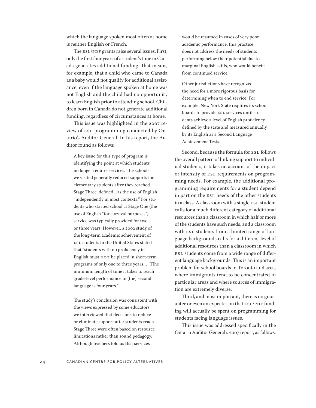which the language spoken most often at home is neither English or French.

The ESL/PDF grants raise several issues. First, only the first four years of a student's time in Canada generates additional funding. That means, for example, that a child who came to Canada as a baby would not qualify for additional assistance, even if the language spoken at home was not English and the child had no opportunity to learn English prior to attending school. Children born in Canada do not generate additional funding, regardless of circumstances at home.

This issue was highlighted in the 2007 review of ESL programming conducted by Ontario's Auditor General. In his report, the Auditor found as follows:

A key issue for this type of program is identifying the point at which students no longer require services. The schools we visited generally reduced supports for elementary students after they reached Stage Three, defined…as the use of English "independently in most contexts." For students who started school at Stage One (the use of English "for survival purposes"), service was typically provided for two or three years. However, a 2002 study of the long-term academic achievement of ESL students in the United States stated that "students with no proficiency in English must NOT be placed in short-term programs of only one to three years… [T]he minimum length of time it takes to reach grade-level performance in [the] second language is four years."

The study's conclusion was consistent with the views expressed by some educators we interviewed that decisions to reduce or eliminate support after students reach Stage Three were often based on resource limitations rather than sound pedagogy. Although teachers told us that services

would be resumed in cases of very poor academic performance, this practice does not address the needs of students performing below their potential due to marginal English skills, who would benefit from continued service.

Other jurisdictions have recognized the need for a more rigorous basis for determining when to end service. For example, New York State requires its school boards to provide ESL services until students achieve a level of English proficiency defined by the state and measured annually by its English as a Second Language Achievement Tests.

Second, because the formula for ESL follows the overall pattern of linking support to individual students, it takes no account of the impact or intensity of ESL requirements on programming needs. For example, the additional programming requirements for a student depend in part on the ESL needs of the other students in a class. A classroom with a single ESL student calls for a much different category of additional resources than a classroom in which half or more of the students have such needs, and a classroom with ESL students from a limited range of language backgrounds calls for a different level of additional resources than a classroom in which ESL students come from a wide range of different language backgrounds. This is an important problem for school boards in Toronto and area, where immigrants tend to be concentrated in particular areas and where sources of immigration are extremely diverse.

Third, and most important, there is no guarantee or even an expectation that ESL/PDF funding will actually be spent on programming for students facing language issues.

This issue was addressed specifically in the Ontario Auditor General's 2007 report, as follows.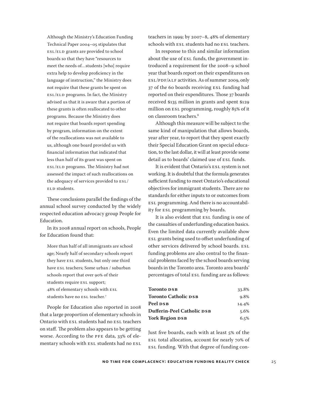Although the Ministry's Education Funding Technical Paper 2004–05 stipulates that ESL/ELD grants are provided to school boards so that they have "resources to meet the needs of…students [who] require extra help to develop proficiency in the language of instruction," the Ministry does not require that these grants be spent on ESL/ELD programs. In fact, the Ministry advised us that it is aware that a portion of these grants is often reallocated to other programs. Because the Ministry does not require that boards report spending by program, information on the extent of the reallocations was not available to us, although one board provided us with financial information that indicated that less than half of its grant was spent on ESL/ELD programs. The Ministry had not assessed the impact of such reallocations on the adequacy of services provided to ESL/ ELD students.

These conclusions parallel the findings of the annual school survey conducted by the widely respected education advocacy group People for Education.

In its 2008 annual report on schools, People for Education found that:

More than half of all immigrants are school age; Nearly half of secondary schools report they have ESL students, but only one third have ESL teachers; Some urban / suburban schools report that over 90% of their students require ESL support; 48% of elementary schools with ESL students have no ESL teacher.<sup>7</sup>

People for Education also reported in 2008 that a large proportion of elementary schools in Ontario with ESL students had no ESL teachers on staff. The problem also appears to be getting worse. According to the PFE data, 33% of elementary schools with ESL students had no ESL teachers in 1999; by 2007–8, 48% of elementary schools with ESL students had no ESL teachers.

In response to this and similar information about the use of ESL funds, the government introduced a requirement for the 2008–9 school year that boards report on their expenditures on ESL/PDF/ALF activities. As of summer 2009, only 37 of the 60 boards receiving ESL funding had reported on their expenditures. Those 37 boards received \$135 million in grants and spent \$129 million on ESL programming, roughly 85% of it on classroom teachers.<sup>8</sup>

Although this measure will be subject to the same kind of manipulation that allows boards, year after year, to report that they spent exactly their Special Education Grant on special education, to the last dollar, it will at least provide some detail as to boards' claimed use of ESL funds.

It is evident that Ontario's ESL system is not working. It is doubtful that the formula generates sufficient funding to meet Ontario's educational objectives for immigrant students. There are no standards for either inputs to or outcomes from ESL programming. And there is no accountability for ESL programming by boards.

It is also evident that ESL funding is one of the casualties of underfunding education basics. Even the limited data currently available show ESL grants being used to offset underfunding of other services delivered by school boards. ESL funding problems are also central to the financial problems faced by the school boards serving boards in the Toronto area. Toronto area boards' percentages of total ESL funding are as follows:

| 33.8% |
|-------|
| 9.8%  |
| 14.4% |
| 5.6%  |
| 6.5%  |
|       |

Just five boards, each with at least 5% of the ESL total allocation, account for nearly 70% of ESL funding. With that degree of funding con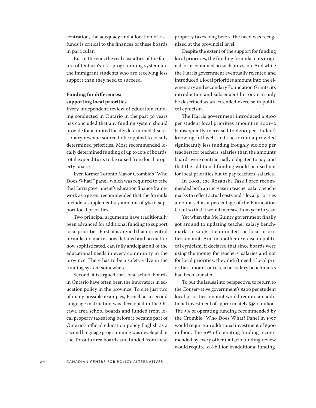centration, the adequacy and allocation of ESL funds is critical to the finances of these boards in particular.

But in the end, the real casualties of the failure of Ontario's ESL programming system are the immigrant students who are receiving less support than they need to succeed.

#### **Funding for differences:**

#### **supporting local priorities**

Every independent review of education funding conducted in Ontario in the past 50 years has concluded that any funding system should provide for a limited locally determined discretionary revenue source to be applied to locally determined priorities. Most recommended locally determined funding of up to 10% of boards' total expenditure, to be raised from local property taxes.<sup>9</sup>

Even former Toronto Mayor Crombie's "Who Does What?" panel, which was required to take the Harris government's education finance framework as a given, recommended that the formula include a supplementary amount of 5% to support local priorities.

Two principal arguments have traditionally been advanced for additional funding to support local priorities. First, it is argued that no central formula, no matter how detailed and no matter how sophisticated, can fully anticipate all of the educational needs in every community in the province. There has to be a safety valve in the funding system somewhere.

Second, it is argued that local school boards in Ontario have often been the innovators in education policy in the province. To cite just two of many possible examples, French as a second language instruction was developed in the Ottawa area school boards and funded from local property taxes long before it became part of Ontario's official education policy English as a second language programming was developed in the Toronto area boards and funded from local property taxes long before the need was recognized at the provincial level.

Despite the extent of the support for funding local priorities, the funding formula in its original form contained no such provision. And while the Harris government eventually relented and introduced a local priorities amount into the elementary and secondary Foundation Grants, its introduction and subsequent history can only be described as an extended exercise in political cynicism.

The Harris government introduced a \$100 per student local priorities amount in 2001–2 (subsequently increased to \$200 per student) knowing full well that the formula provided significantly less funding (roughly \$10,000 per teacher) for teachers' salaries than the amounts boards were contractually obligated to pay, and that the additional funding would be used not for local priorities but to pay teachers' salaries.

In 2002, the Rozanski Task Force recommended both an increase in teacher salary benchmarks to reflect actual costs and a local priorities amount set as a percentage of the Foundation Grant so that it would increase from year to year.

Yet when the McGuinty government finally got around to updating teacher salary benchmarks in 2006, it eliminated the local priorities amount. And in another exercise in political cynicism, it declared that since boards were using the money for teachers' salaries and not for local priorities, they didn't need a local priorities amount once teacher salary benchmarks had been adjusted.

To put the issues into perspective, to return to the Conservative government's \$200 per student local priorities amount would require an additional investment of approximately \$380 million. The 5% of operating funding recommended by the Crombie "Who Does What? Panel in 1997 would require an additional investment of \$900 million. The 10% of operating funding recommended by every other Ontario funding review would require \$1.8 billion in additional funding.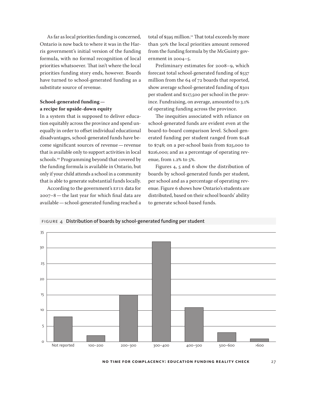As far as local priorities funding is concerned, Ontario is now back to where it was in the Harris government's initial version of the funding formula, with no formal recognition of local priorities whatsoever. That isn't where the local priorities funding story ends, however. Boards have turned to school-generated funding as a substitute source of revenue.

#### **School-generated funding a recipe for upside-down equity**

In a system that is supposed to deliver education equitably across the province and spend unequally in order to offset individual educational disadvantages, school-generated funds have become significant sources of revenue—revenue that is available only to support activities in local schools.<sup>10</sup> Programming beyond that covered by the funding formula is available in Ontario, but only if your child attends a school in a community that is able to generate substantial funds locally.

According to the government's EFIS data for 2007–8—the last year for which final data are available—school-generated funding reached a

total of \$595 million.<sup>11</sup> That total exceeds by more than 50% the local priorities amount removed from the funding formula by the McGuinty government in 2004–5.

Preliminary estimates for 2008–9, which forecast total school-generated funding of \$537 million from the 64 of 72 boards that reported, show average school-generated funding of \$301 per student and \$117,500 per school in the province. Fundraising, on average, amounted to 3.1% of operating funding across the province.

The inequities associated with reliance on school-generated funds are evident even at the board-to-board comparison level. School-generated funding per student ranged from \$148 to \$748; on a per-school basis from \$25,000 to \$216,000; and as a percentage of operating revenue, from 1.2% to 5%.

Figures 4, 5 and 6 show the distribution of boards by school-generated funds per student, per school and as a percentage of operating revenue. Figure 6 shows how Ontario's students are distributed, based on their school boards' ability to generate school-based funds.





**No Time For Complacency: Education Funding Reality Check** 27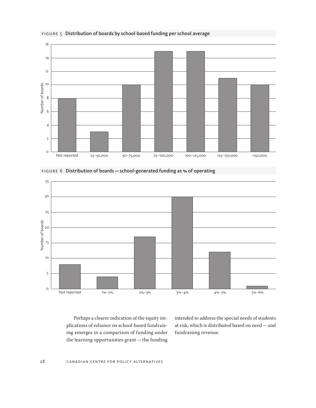

#### figure 5 Distribution of boards by school-based funding per school average



figure 6 Distribution of boards — school-generated funding as % of operating

Perhaps a clearer indication of the equity implications of reliance on school-based fundraising emerges in a comparison of funding under the learning opportunities grant—the funding intended to address the special needs of students at risk, which is distributed based on need—and fundraising revenue.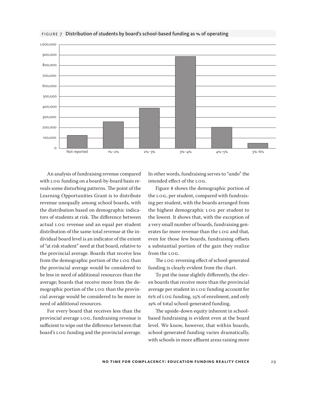![](_page_28_Figure_0.jpeg)

#### figure 7 Distribution of students by board's school-based funding as % of operating

An analysis of fundraising revenue compared with LOG funding on a board-by-board basis reveals some disturbing patterns. The point of the Learning Opportunities Grant is to distribute revenue unequally among school boards, with the distribution based on demographic indicators of students at risk. The difference between actual LOG revenue and an equal per student distribution of the same total revenue at the individual board level is an indicator of the extent of "at risk student" need at that board, relative to the provincial average. Boards that receive less from the demographic portion of the LOG than the provincial average would be considered to be less in need of additional resources than the average; boards that receive more from the demographic portion of the LOG than the provincial average would be considered to be more in need of additional resources.

For every board that receives less than the provincial average LOG, fundraising revenue is sufficient to wipe out the difference between that board's LOG funding and the provincial average.

In other words, fundraising serves to "undo" the intended effect of the LOG.

Figure 8 shows the demographic portion of the LOG, per student, compared with fundraising per student, with the boards arranged from the highest demographic LOG per student to the lowest. It shows that, with the exception of a very small number of boards, fundraising generates far more revenue than the LOG and that, even for those few boards, fundraising offsets a substantial portion of the gain they realize from the LOG.

The LOG-reversing effect of school-generated funding is clearly evident from the chart.

To put the issue slightly differently, the eleven boards that receive more than the provincial average per student in LOG funding account for 61% of LOG funding, 25% of enrolment, and only 19% of total school-generated funding.

The upside-down equity inherent in schoolbased fundraising is evident even at the board level. We know, however, that within boards, school-generated funding varies dramatically, with schools in more affluent areas raising more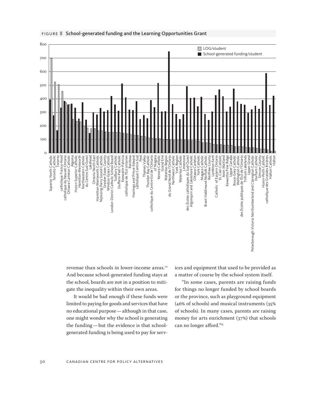![](_page_29_Figure_0.jpeg)

#### FIGURE 8 School-generated funding and the Learning Opportunities Grant

revenue than schools in lower-income areas.<sup>12</sup> And because school-generated funding stays at the school, boards are not in a position to mitigate the inequality within their own areas.

It would be bad enough if these funds were limited to paying for goods and services that have no educational purpose—although in that case, one might wonder why the school is generating the funding—but the evidence is that schoolgenerated funding is being used to pay for services and equipment that used to be provided as a matter of course by the school system itself.

"In some cases, parents are raising funds for things no longer funded by school boards or the province, such as playground equipment (46% of schools) and musical instruments (35% of schools). In many cases, parents are raising money for arts enrichment (37%) that schools can no longer afford."<sup>13</sup>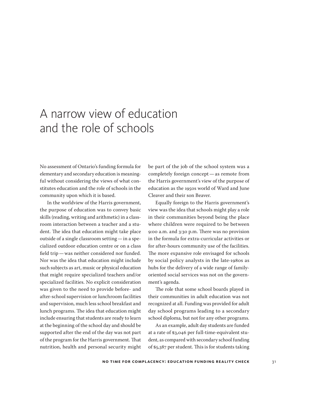# A narrow view of education and the role of schools

No assessment of Ontario's funding formula for elementary and secondary education is meaningful without considering the views of what constitutes education and the role of schools in the community upon which it is based.

In the worldview of the Harris government, the purpose of education was to convey basic skills (reading, writing and arithmetic) in a classroom interaction between a teacher and a student. The idea that education might take place outside of a single classroom setting—in a specialized outdoor education centre or on a class field trip—was neither considered nor funded. Nor was the idea that education might include such subjects as art, music or physical education that might require specialized teachers and/or specialized facilities. No explicit consideration was given to the need to provide before- and after-school supervision or lunchroom facilities and supervision, much less school breakfast and lunch programs. The idea that education might include ensuring that students are ready to learn at the beginning of the school day and should be supported after the end of the day was not part of the program for the Harris government. That nutrition, health and personal security might

be part of the job of the school system was a completely foreign concept—as remote from the Harris government's view of the purpose of education as the 1950s world of Ward and June Cleaver and their son Beaver.

Equally foreign to the Harris government's view was the idea that schools might play a role in their communities beyond being the place where children were required to be between 9:00 a.m. and 3:30 p.m. There was no provision in the formula for extra-curricular activities or for after-hours community use of the facilities. The more expansive role envisaged for schools by social policy analysts in the late-1980s as hubs for the delivery of a wide range of familyoriented social services was not on the government's agenda.

The role that some school boards played in their communities in adult education was not recognized at all. Funding was provided for adult day school programs leading to a secondary school diploma, but not for any other programs.

As an example, adult day students are funded at a rate of \$3,046 per full-time-equivalent student, as compared with secondary school funding of \$5,387 per student. This is for students taking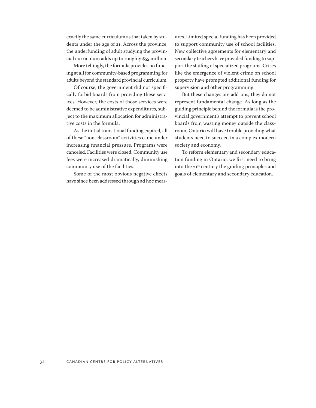exactly the same curriculum as that taken by students under the age of 21. Across the province, the underfunding of adult studying the provincial curriculum adds up to roughly \$55 million.

More tellingly, the formula provides no funding at all for community-based programming for adults beyond the standard provincial curriculum.

Of course, the government did not specifically forbid boards from providing these services. However, the costs of those services were deemed to be administrative expenditures, subject to the maximum allocation for administrative costs in the formula.

As the initial transitional funding expired, all of these "non-classroom" activities came under increasing financial pressure. Programs were canceled. Facilities were closed. Community use fees were increased dramatically, diminishing community use of the facilities.

Some of the most obvious negative effects have since been addressed through ad hoc measures. Limited special funding has been provided to support community use of school facilities. New collective agreements for elementary and secondary teachers have provided funding to support the staffing of specialized programs. Crises like the emergence of violent crime on school property have prompted additional funding for supervision and other programming.

But these changes are add-ons; they do not represent fundamental change. As long as the guiding principle behind the formula is the provincial government's attempt to prevent school boards from wasting money outside the classroom, Ontario will have trouble providing what students need to succeed in a complex modern society and economy.

To reform elementary and secondary education funding in Ontario, we first need to bring into the 21<sup>st</sup> century the guiding principles and goals of elementary and secondary education.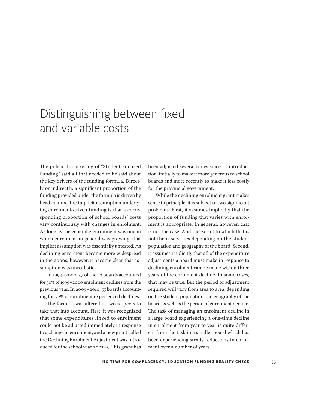# Distinguishing between fixed and variable costs

The political marketing of "Student Focused Funding" said all that needed to be said about the key drivers of the funding formula. Directly or indirectly, a significant proportion of the funding provided under the formula is driven by head counts. The implicit assumption underlying enrolment-driven funding is that a corresponding proportion of school boards' costs vary continuously with changes in enrolment. As long as the general environment was one in which enrolment in general was growing, that implicit assumption was essentially untested. As declining enrolment became more widespread in the 2000s, however, it became clear that assumption was unrealistic.

In 1999–2000, 37 of the 72 boards accounted for 30% of 1999–2000 enrolment declines from the previous year. In 2009–2010, 55 boards accounting for 72% of enrolment experienced declines.

The formula was altered in two respects to take that into account. First, it was recognized that some expenditures linked to enrolment could not be adjusted immediately in response to a change in enrolment, and a new grant called the Declining Enrolment Adjustment was introduced for the school year 2002–3. This grant has

been adjusted several times since its introduction, initially to make it more generous to school boards and more recently to make it less costly for the provincial government.

While the declining enrolment grant makes sense in principle, it is subject to two significant problems. First, it assumes implicitly that the proportion of funding that varies with enrolment is appropriate. In general, however, that is not the case. And the extent to which that is not the case varies depending on the student population and geography of the board. Second, it assumes implicitly that all of the expenditure adjustments a board must make in response to declining enrolment can be made within three years of the enrolment decline. In some cases, that may be true. But the period of adjustment required will vary from area to area, depending on the student population and geography of the board as well as the period of enrolment decline. The task of managing an enrolment decline in a large board experiencing a one-time decline in enrolment from year to year is quite different from the task in a smaller board which has been experiencing steady reductions in enrolment over a number of years.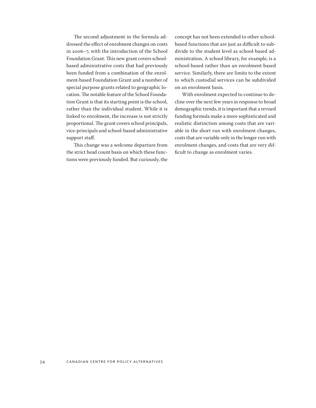The second adjustment in the formula addressed the effect of enrolment changes on costs in 2006–7, with the introduction of the School Foundation Grant. This new grant covers schoolbased administrative costs that had previously been funded from a combination of the enrolment-based Foundation Grant and a number of special purpose grants related to geographic location. The notable feature of the School Foundation Grant is that its starting point is the school, rather than the individual student. While it is linked to enrolment, the increase is not strictly proportional. The grant covers school principals, vice-principals and school-based administrative support staff.

This change was a welcome departure from the strict head count basis on which these functions were previously funded. But curiously, the concept has not been extended to other schoolbased functions that are just as difficult to subdivide to the student level as school-based administration. A school library, for example, is a school-based rather than an enrolment-based service. Similarly, there are limits to the extent to which custodial services can be subdivided on an enrolment basis.

With enrolment expected to continue to decline over the next few years in response to broad demographic trends, it is important that a revised funding formula make a more sophisticated and realistic distinction among costs that are variable in the short run with enrolment changes, costs that are variable only in the longer run with enrolment changes, and costs that are very difficult to change as enrolment varies.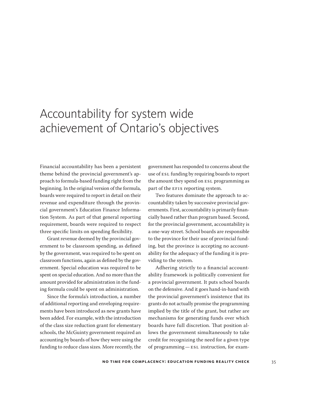### Accountability for system wide achievement of Ontario's objectives

Financial accountability has been a persistent theme behind the provincial government's approach to formula-based funding right from the beginning. In the original version of the formula, boards were required to report in detail on their revenue and expenditure through the provincial government's Education Finance Information System. As part of that general reporting requirement, boards were required to respect three specific limits on spending flexibility.

Grant revenue deemed by the provincial government to be classroom spending, as defined by the government, was required to be spent on classroom functions, again as defined by the government. Special education was required to be spent on special education. And no more than the amount provided for administration in the funding formula could be spent on administration.

Since the formula's introduction, a number of additional reporting and enveloping requirements have been introduced as new grants have been added. For example, with the introduction of the class size reduction grant for elementary schools, the McGuinty government required an accounting by boards of how they were using the funding to reduce class sizes. More recently, the

government has responded to concerns about the use of ESL funding by requiring boards to report the amount they spend on ESL programming as part of the EFIS reporting system.

Two features dominate the approach to accountability taken by successive provincial governments. First, accountability is primarily financially based rather than program based. Second, for the provincial government, accountability is a one-way street. School boards are responsible to the province for their use of provincial funding, but the province is accepting no accountability for the adequacy of the funding it is providing to the system.

Adhering strictly to a financial accountability framework is politically convenient for a provincial government. It puts school boards on the defensive. And it goes hand-in-hand with the provincial government's insistence that its grants do not actually promise the programming implied by the title of the grant, but rather are mechanisms for generating funds over which boards have full discretion. That position allows the government simultaneously to take credit for recognizing the need for a given type of programming—ESL instruction, for exam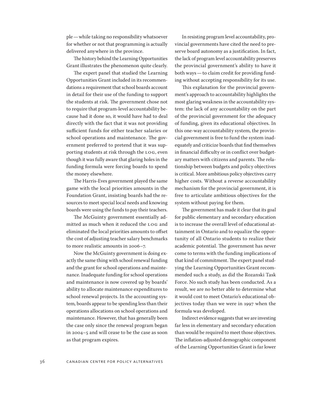ple—while taking no responsibility whatsoever for whether or not that programming is actually delivered anywhere in the province.

The history behind the Learning Opportunities Grant illustrates the phenomenon quite clearly.

The expert panel that studied the Learning Opportunities Grant included in its recommendations a requirement that school boards account in detail for their use of the funding to support the students at risk. The government chose not to require that program-level accountability because had it done so, it would have had to deal directly with the fact that it was not providing sufficient funds for either teacher salaries or school operations and maintenance. The government preferred to pretend that it was supporting students at risk through the LOG, even though it was fully aware that glaring holes in the funding formula were forcing boards to spend the money elsewhere.

The Harris-Eves government played the same game with the local priorities amounts in the Foundation Grant, insisting boards had the resources to meet special local needs and knowing boards were using the funds to pay their teachers.

The McGuinty government essentially admitted as much when it reduced the LOG and eliminated the local priorities amounts to offset the cost of adjusting teacher salary benchmarks to more realistic amounts in 2006–7.

Now the McGuinty government is doing exactly the same thing with school renewal funding and the grant for school operations and maintenance. Inadequate funding for school operations and maintenance is now covered up by boards' ability to allocate maintenance expenditures to school renewal projects. In the accounting system, boards appear to be spending less than their operations allocations on school operations and maintenance. However, that has generally been the case only since the renewal program began in 2004–5 and will cease to be the case as soon as that program expires.

In resisting program level accountability, provincial governments have cited the need to preserve board autonomy as a justification. In fact, the lack of program level accountability preserves the provincial government's ability to have it both ways—to claim credit for providing funding without accepting responsibility for its use.

This explanation for the provincial government's approach to accountability highlights the most glaring weakness in the accountability system: the lack of any accountability on the part of the provincial government for the adequacy of funding, given its educational objectives. In this one-way accountability system, the provincial government is free to fund the system inadequately and criticize boards that find themselves in financial difficulty or in conflict over budgetary matters with citizens and parents. The relationship between budgets and policy objectives is critical. More ambitious policy objectives carry higher costs. Without a reverse accountability mechanism for the provincial government, it is free to articulate ambitious objectives for the system without paying for them.

The government has made it clear that its goal for public elementary and secondary education is to increase the overall level of educational attainment in Ontario and to equalize the opportunity of all Ontario students to realize their academic potential. The government has never come to terms with the funding implications of that kind of commitment. The expert panel studying the Learning Opportunities Grant recommended such a study, as did the Rozanski Task Force. No such study has been conducted. As a result, we are no better able to determine what it would cost to meet Ontario's educational objectives today than we were in 1997 when the formula was developed.

Indirect evidence suggests that we are investing far less in elementary and secondary education than would be required to meet those objectives. The inflation-adjusted demographic component of the Learning Opportunities Grant is far lower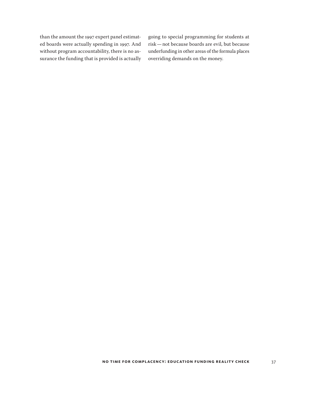than the amount the 1997 expert panel estimated boards were actually spending in 1997. And without program accountability, there is no assurance the funding that is provided is actually going to special programming for students at risk—not because boards are evil, but because underfunding in other areas of the formula places overriding demands on the money.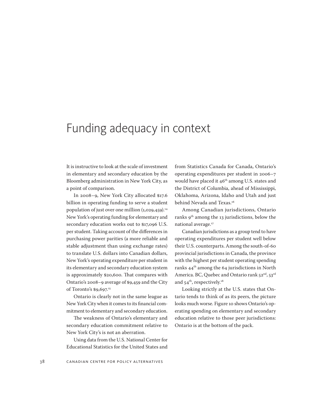### Funding adequacy in context

It is instructive to look at the scale of investment in elementary and secondary education by the Bloomberg administration in New York City, as a point of comparison.

In 2008–9, New York City allocated \$17.6 billion in operating funding to serve a student population of just over one million  $(1,029,459).$ <sup>14</sup> New York's operating funding for elementary and secondary education works out to \$17,096 U.S. per student. Taking account of the differences in purchasing power parities (a more reliable and stable adjustment than using exchange rates) to translate U.S. dollars into Canadian dollars, New York's operating expenditure per student in its elementary and secondary education system is approximately \$20,600. That compares with Ontario's 2008–9 average of \$9,459 and the City of Toronto's \$9,697.<sup>15</sup>

Ontario is clearly not in the same league as New York City when it comes to its financial commitment to elementary and secondary education.

The weakness of Ontario's elementary and secondary education commitment relative to New York City's is not an aberration.

Using data from the U.S. National Center for Educational Statistics for the United States and

from Statistics Canada for Canada, Ontario's operating expenditures per student in 2006–7 would have placed it 46<sup>th</sup> among U.S. states and the District of Columbia, ahead of Mississippi, Oklahoma, Arizona, Idaho and Utah and just behind Nevada and Texas.<sup>16</sup>

Among Canadian jurisdictions, Ontario ranks  $9^{th}$  among the 13 jurisdictions, below the national average.<sup>17</sup>

Canadian jurisdictions as a group tend to have operating expenditures per student well below their U.S. counterparts. Among the south-of-60 provincial jurisdictions in Canada, the province with the highest per student operating spending ranks  $44<sup>th</sup>$  among the 64 jurisdictions in North America. BC, Quebec and Ontario rank  $52<sup>nd</sup>$ ,  $53<sup>rd</sup>$ and 54<sup>th</sup>, respectively.<sup>18</sup>

Looking strictly at the U.S. states that Ontario tends to think of as its peers, the picture looks much worse. Figure 10 shows Ontario's operating spending on elementary and secondary education relative to those peer jurisdictions: Ontario is at the bottom of the pack.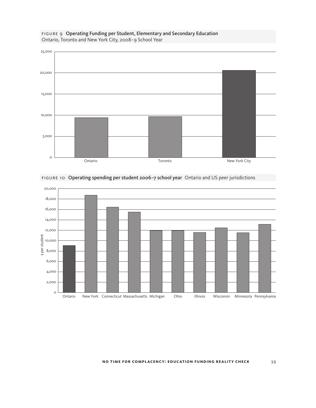![](_page_38_Figure_0.jpeg)

#### figure 9 Operating Funding per Student, Elementary and Secondary Education Ontario, Toronto and New York City, 2008–9 School Year

![](_page_38_Figure_2.jpeg)

figure 10 Operating spending per student 2006–7 school year Ontario and US peer jurisdictions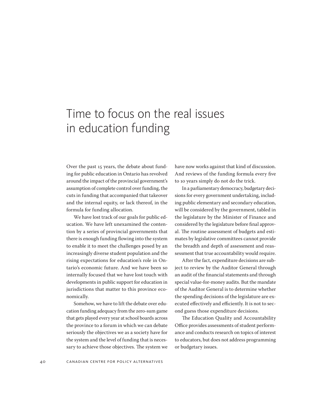# Time to focus on the real issues in education funding

Over the past 15 years, the debate about funding for public education in Ontario has revolved around the impact of the provincial government's assumption of complete control over funding, the cuts in funding that accompanied that takeover and the internal equity, or lack thereof, in the formula for funding allocation.

We have lost track of our goals for public education. We have left unexamined the contention by a series of provincial governments that there is enough funding flowing into the system to enable it to meet the challenges posed by an increasingly diverse student population and the rising expectations for education's role in Ontario's economic future. And we have been so internally focused that we have lost touch with developments in public support for education in jurisdictions that matter to this province economically.

Somehow, we have to lift the debate over education funding adequacy from the zero-sum game that gets played every year at school boards across the province to a forum in which we can debate seriously the objectives we as a society have for the system and the level of funding that is necessary to achieve those objectives. The system we

have now works against that kind of discussion. And reviews of the funding formula every five to 10 years simply do not do the trick.

In a parliamentary democracy, budgetary decisions for every government undertaking, including public elementary and secondary education, will be considered by the government, tabled in the legislature by the Minister of Finance and considered by the legislature before final approval. The routine assessment of budgets and estimates by legislative committees cannot provide the breadth and depth of assessment and reassessment that true accountability would require.

After the fact, expenditure decisions are subject to review by the Auditor General through an audit of the financial statements and through special value-for-money audits. But the mandate of the Auditor General is to determine whether the spending decisions of the legislature are executed effectively and efficiently. It is not to second guess those expenditure decisions.

The Education Quality and Accountability Office provides assessments of student performance and conducts research on topics of interest to educators, but does not address programming or budgetary issues.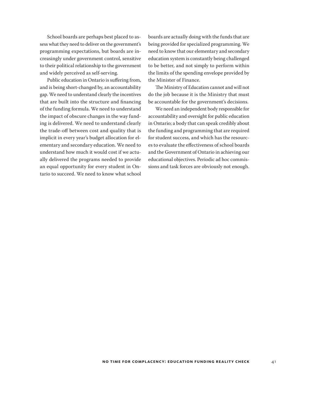School boards are perhaps best placed to assess what they need to deliver on the government's programming expectations, but boards are increasingly under government control, sensitive to their political relationship to the government and widely perceived as self-serving.

Public education in Ontario is suffering from, and is being short-changed by, an accountability gap. We need to understand clearly the incentives that are built into the structure and financing of the funding formula. We need to understand the impact of obscure changes in the way funding is delivered. We need to understand clearly the trade-off between cost and quality that is implicit in every year's budget allocation for elementary and secondary education. We need to understand how much it would cost if we actually delivered the programs needed to provide an equal opportunity for every student in Ontario to succeed. We need to know what school

boards are actually doing with the funds that are being provided for specialized programming. We need to know that our elementary and secondary education system is constantly being challenged to be better, and not simply to perform within the limits of the spending envelope provided by the Minister of Finance.

The Ministry of Education cannot and will not do the job because it is the Ministry that must be accountable for the government's decisions.

We need an independent body responsible for accountability and oversight for public education in Ontario; a body that can speak credibly about the funding and programming that are required for student success, and which has the resources to evaluate the effectiveness of school boards and the Government of Ontario in achieving our educational objectives. Periodic ad hoc commissions and task forces are obviously not enough.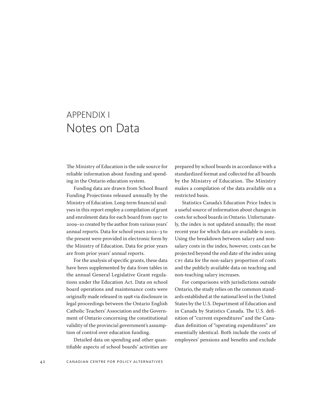### APPENDIX I Notes on Data

The Ministry of Education is the sole source for reliable information about funding and spending in the Ontario education system.

Funding data are drawn from School Board Funding Projections released annually by the Ministry of Education. Long-term financial analyses in this report employ a compilation of grant and enrolment data for each board from 1997 to 2009–10 created by the author from various years' annual reports. Data for school years 2002–3 to the present were provided in electronic form by the Ministry of Education. Data for prior years are from prior years' annual reports.

For the analysis of specific grants, these data have been supplemented by data from tables in the annual General Legislative Grant regulations under the Education Act. Data on school board operations and maintenance costs were originally made released in 1998 via disclosure in legal proceedings between the Ontario English Catholic Teachers' Association and the Government of Ontario concerning the constitutional validity of the provincial government's assumption of control over education funding.

Detailed data on spending and other quantifiable aspects of school boards' activities are prepared by school boards in accordance with a standardized format and collected for all boards by the Ministry of Education. The Ministry makes a compilation of the data available on a restricted basis.

Statistics Canada's Education Price Index is a useful source of information about changes in costs for school boards in Ontario. Unfortunately, the index is not updated annually; the most recent year for which data are available is 2003. Using the breakdown between salary and nonsalary costs in the index, however, costs can be projected beyond the end date of the index using CPI data for the non-salary proportion of costs and the publicly available data on teaching and non-teaching salary increases.

For comparisons with jurisdictions outside Ontario, the study relies on the common standards established at the national level in the United States by the U.S. Department of Education and in Canada by Statistics Canada. The U.S. definition of "current expenditures" and the Canadian definition of "operating expenditures" are essentially identical. Both include the costs of employees' pensions and benefits and exclude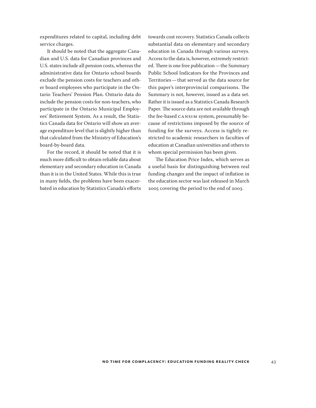expenditures related to capital, including debt service charges.

It should be noted that the aggregate Canadian and U.S. data for Canadian provinces and U.S. states include all pension costs, whereas the administrative data for Ontario school boards exclude the pension costs for teachers and other board employees who participate in the Ontario Teachers' Pension Plan. Ontario data do include the pension costs for non-teachers, who participate in the Ontario Municipal Employees' Retirement System. As a result, the Statistics Canada data for Ontario will show an average expenditure level that is slightly higher than that calculated from the Ministry of Education's board-by-board data.

For the record, it should be noted that it is much more difficult to obtain reliable data about elementary and secondary education in Canada than it is in the United States. While this is true in many fields, the problems have been exacerbated in education by Statistics Canada's efforts towards cost recovery. Statistics Canada collects substantial data on elementary and secondary education in Canada through various surveys. Access to the data is, however, extremely restricted. There is one free publication—the Summary Public School Indicators for the Provinces and Territories—that served as the data source for this paper's interprovincial comparisons. The Summary is not, however, issued as a data set. Rather it is issued as a Statistics Canada Research Paper. The source data are not available through the fee-based CANSIM system, presumably because of restrictions imposed by the source of funding for the surveys. Access is tightly restricted to academic researchers in faculties of education at Canadian universities and others to whom special permission has been given.

The Education Price Index, which serves as a useful basis for distinguishing between real funding changes and the impact of inflation in the education sector was last released in March 2005 covering the period to the end of 2003.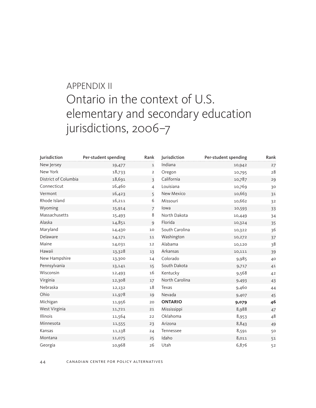# APPENDIX II Ontario in the context of U.S. elementary and secondary education jurisdictions, 2006–7

| <b>Jurisdiction</b>  | Per-student spending | Rank           | Jurisdiction   | Per-student spending | Rank |
|----------------------|----------------------|----------------|----------------|----------------------|------|
| New Jersey           | 19,477               | 1              | Indiana        | 10,942               | 27   |
| New York             | 18,733               | $\overline{2}$ | Oregon         | 10,795               | 28   |
| District of Columbia | 18,691               | 3              | California     | 10,787               | 29   |
| Connecticut          | 16,460               | $\overline{4}$ | Louisiana      | 10,769               | 30   |
| Vermont              | 16,423               | 5              | New Mexico     | 10,663               | 31   |
| Rhode Island         | 16,211               | 6              | Missouri       | 10,662               | 32   |
| Wyoming              | 15,914               | $\overline{7}$ | lowa           | 10,593               | 33   |
| Massachusetts        | 15,493               | 8              | North Dakota   | 10,449               | 34   |
| Alaska               | 14,851               | $\mathbf{q}$   | Florida        | 10,324               | 35   |
| Maryland             | 14,430               | 10             | South Carolina | 10,322               | 36   |
| Delaware             | 14,171               | 11             | Washington     | 10,272               | 37   |
| Maine                | 14,031               | 12             | Alabama        | 10,120               | 38   |
| Hawaii               | 13,328               | 13             | Arkansas       | 10,111               | 39   |
| New Hampshire        | 13,300               | 14             | Colorado       | 9,985                | 40   |
| Pennsylvania         | 13,141               | 15             | South Dakota   | 9,717                | 41   |
| Wisconsin            | 12,493               | 16             | Kentucky       | 9,568                | 42   |
| Virginia             | 12,308               | 17             | North Carolina | 9,493                | 43   |
| Nebraska             | 12,132               | 18             | Texas          | 9,460                | 44   |
| Ohio                 | 11,978               | 19             | Nevada         | 9,407                | 45   |
| Michigan             | 11,956               | 20             | <b>ONTARIO</b> | 9,079                | 46   |
| West Virginia        | 11,721               | 21             | Mississippi    | 8,988                | 47   |
| Illinois             | 11,564               | 22             | Oklahoma       | 8,953                | 48   |
| Minnesota            | 11,555               | 23             | Arizona        | 8,843                | 49   |
| Kansas               | 11,138               | 24             | Tennessee      | 8,591                | 50   |
| Montana              | 11,075               | 25             | Idaho          | 8,011                | 51   |
| Georgia              | 10,968               | 26             | Utah           | 6,876                | 52   |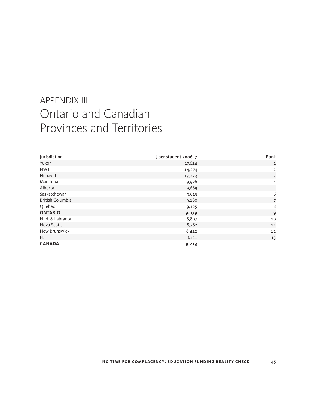### APPENDIX III Ontario and Canadian Provinces and Territories

| Jurisdiction            | \$ per student 2006-7 | Rank           |
|-------------------------|-----------------------|----------------|
| Yukon                   | 17,624                | 1              |
| <b>NWT</b>              | 14,274                | 2              |
| Nunavut                 | 13,273                | 3              |
| Manitoba                | 9,926                 | 4              |
| Alberta                 | 9,689                 | 5              |
| Saskatchewan            | 9,619                 | 6              |
| <b>British Columbia</b> | 9,180                 | $\overline{7}$ |
| Quebec                  | 9,125                 | 8              |
| <b>ONTARIO</b>          | 9,079                 | 9              |
| Nfld. & Labrador        | 8,897                 | 10             |
| Nova Scotia             | 8,782                 | 11             |
| New Brunswick           | 8,422                 | 12             |
| PEI                     | 8,121                 | 13             |
| <b>CANADA</b>           | 9,213                 |                |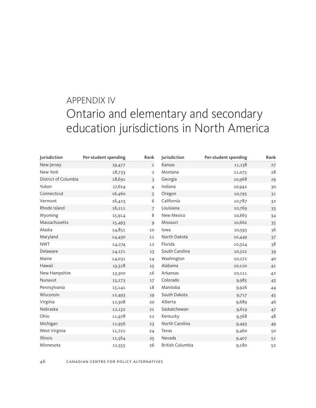### APPENDIX IV Ontario and elementary and secondary education jurisdictions in North America

| <b>Jurisdiction</b>  | Per-student spending | Rank           | Jurisdiction            | Per-student spending | Rank |
|----------------------|----------------------|----------------|-------------------------|----------------------|------|
| New Jersey           | 19,477               | $\mathbf{1}$   | Kansas                  | 11,138               | 27   |
| New York             | 18,733               | $\overline{2}$ | Montana                 | 11,075               | 28   |
| District of Columbia | 18,691               | 3              | Georgia                 | 10,968               | 29   |
| Yukon                | 17,624               | 4              | Indiana                 | 10,942               | 30   |
| Connecticut          | 16,460               | 5              | Oregon                  | 10,795               | 31   |
| Vermont              | 16,423               | 6              | California              | 10,787               | 32   |
| Rhode Island         | 16,211               | $\overline{7}$ | Louisiana               | 10,769               | 33   |
| Wyoming              | 15,914               | 8              | New Mexico              | 10,663               | 34   |
| Massachusetts        | 15,493               | 9              | Missouri                | 10,662               | 35   |
| Alaska               | 14,851               | 10             | lowa                    | 10,593               | 36   |
| Maryland             | 14,430               | 11             | North Dakota            | 10,449               | 37   |
| <b>NWT</b>           | 14,274               | 12             | Florida                 | 10,324               | 38   |
| Delaware             | 14,171               | 13             | South Carolina          | 10,322               | 39   |
| Maine                | 14,031               | 14             | Washington              | 10,272               | 40   |
| Hawaii               | 13,328               | 15             | Alabama                 | 10,120               | 41   |
| New Hampshire        | 13,300               | 16             | Arkansas                | 10,111               | 42   |
| Nunavut              | 13,273               | 17             | Colorado                | 9,985                | 43   |
| Pennsylvania         | 13,141               | 18             | Manitoba                | 9,926                | 44   |
| Wisconsin            | 12,493               | 19             | South Dakota            | 9,717                | 45   |
| Virginia             | 12,308               | 20             | Alberta                 | 9,689                | 46   |
| Nebraska             | 12,132               | 21             | Saskatchewan            | 9,619                | 47   |
| Ohio                 | 11,978               | 22             | Kentucky                | 9,568                | 48   |
| Michigan             | 11,956               | 23             | North Carolina          | 9,493                | 49   |
| West Virginia        | 11,721               | 24             | Texas                   | 9,460                | 50   |
| Illinois             | 11,564               | 25             | Nevada                  | 9,407                | 51   |
| Minnesota            | 11,555               | 26             | <b>British Columbia</b> | 9,180                | 52   |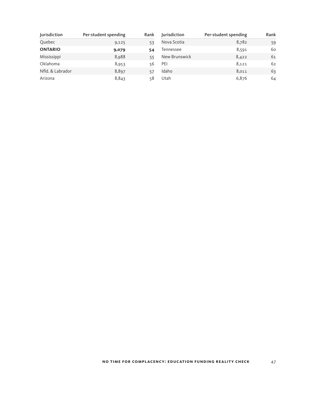| Jurisdiction     | Per-student spending | Rank |
|------------------|----------------------|------|
| Quebec           | 9,125                | 53   |
| <b>ONTARIO</b>   | 9,079                | 54   |
| Mississippi      | 8,988                | 55   |
| Oklahoma         | 8,953                | 56   |
| Nfld. & Labrador | 8,897                | 57   |
| Arizona          | 8,843                | 58   |

| Jurisdiction  | Per-student spending | Rank |
|---------------|----------------------|------|
| Nova Scotia   | 8,782                | 59   |
| Tennessee     | 8,591                | 60   |
| New Brunswick | 8,422                | 61   |
| PFI           | 8,121                | 62   |
| Idaho         | 8,011                | 63   |
| Utah          | 6,876                | 64   |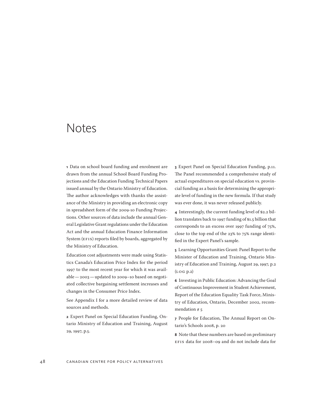### Notes

**1**  Data on school board funding and enrolment are drawn from the annual School Board Funding Projections and the Education Funding Technical Papers issued annual by the Ontario Ministry of Education. The author acknowledges with thanks the assistance of the Ministry in providing an electronic copy in spreadsheet form of the 2009-10 Funding Projections. Other sources of data include the annual General Legislative Grant regulations under the Education Act and the annual Education Finance Information System (EFIS) reports filed by boards, aggregated by the Ministry of Education.

Education cost adjustments were made using Statistics Canada's Education Price Index for the period 1997 to the most recent year for which it was available—2003—updated to 2009–10 based on negotiated collective bargaining settlement increases and changes in the Consumer Price Index.

See Appendix I for a more detailed review of data sources and methods.

**2**  Expert Panel on Special Education Funding, Ontario Ministry of Education and Training, August 29, 1997, p.5.

**3**  Expert Panel on Special Education Funding, p.11. The Panel recommended a comprehensive study of actual expenditures on special education vs. provincial funding as a basis for determining the appropriate level of funding in the new formula. If that study was ever done, it was never released publicly.

**4**  Interestingly, the current funding level of \$2.2 billion translates back to 1997 funding of \$1.5 billion that corresponds to an excess over 1997 funding of 75%, close to the top end of the 23% to 75% range identified in the Expert Panel's sample.

**5**  Learning Opportunities Grant: Panel Report to the Minister of Education and Training, Ontario Ministry of Education and Training, August 29, 1997, p.2 (LOG p.2)

**6**  Investing in Public Education: Advancing the Goal of Continuous Improvement in Student Achievement, Report of the Education Equality Task Force, Ministry of Education, Ontario, December 2002, recommendation # 5

**7**  People for Education, The Annual Report on Ontario's Schools 2008, p. 20

**8**  Note that these numbers are based on preliminary EFIS data for 2008–09 and do not include data for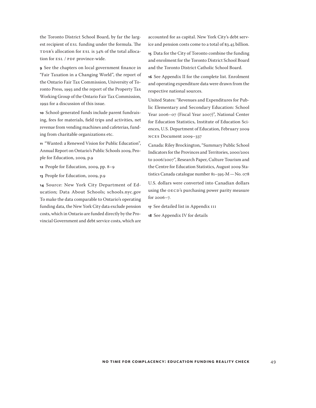the Toronto District School Board, by far the largest recipient of ESL funding under the formula. The TDSB's allocation for ESL is 34% of the total allocation for ESL / PDF province-wide.

**9**  See the chapters on local government finance in "Fair Taxation in a Changing World", the report of the Ontario Fair Tax Commission, University of Toronto Press, 1993 and the report of the Property Tax Working Group of the Ontario Fair Tax Commission, 1992 for a discussion of this issue.

**10**  School-generated funds include parent fundraising, fees for materials, field trips and activities, net revenue from vending machines and cafeterias, funding from charitable organizations etc.

**11**  "Wanted: a Renewed Vision for Public Education", Annual Report on Ontario's Public Schools 2009, People for Education, 2009, p.9

**12**  People for Education, 2009, pp. 8–9

**13**  People for Education, 2009, p.9

**14**  Source: New York City Department of Education; Data About Schools; schools.nyc.gov To make the data comparable to Ontario's operating funding data, the New York City data exclude pension costs, which in Ontario are funded directly by the Provincial Government and debt service costs, which are accounted for as capital. New York City's debt service and pension costs come to a total of \$3.45 billion.

**15**  Data for the City of Toronto combine the funding and enrolment for the Toronto District School Board and the Toronto District Catholic School Board.

**16**  See Appendix II for the complete list. Enrolment and operating expenditure data were drawn from the respective national sources.

United States: "Revenues and Expenditures for Public Elementary and Secondary Education: School Year 2006–07 (Fiscal Year 2007)", National Center for Education Statistics, Institute of Education Sciences, U.S. Department of Education, February 2009 NCES Document 2009–337

Canada: Riley Brockington, "Summary Public School Indicators for the Provinces and Territories, 2000/2001 to 2006/2007", Research Paper, Culture Tourism and the Centre for Education Statistics, August 2009 Statistics Canada catalogue number 81–595-M—No. 078

U.S. dollars were converted into Canadian dollars using the OECD's purchasing power parity measure for 2006–7.

**17**  See detailed list in Appendix III

**18**  See Appendix IV for details